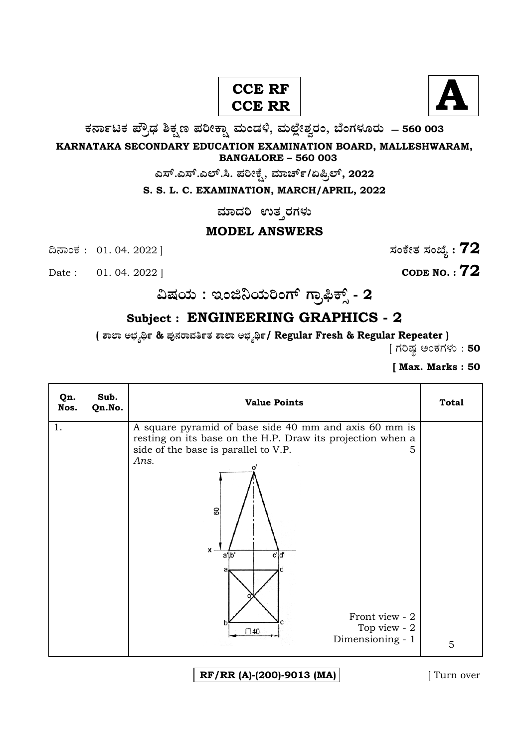# **A CCE RF CCE RR**



**O⁄´¤%lO⁄ ÆË√v⁄ ÃO⁄–y Æ⁄¬fiO¤– »⁄flMs⁄ÿ, »⁄fl≈Ê«fiÀ⁄ ¡⁄M, ∑ÊMV⁄◊⁄‡¡⁄fl — 560 003** 

**KARNATAKA SECONDARY EDUCATION EXAMINATION BOARD, MALLESHWARAM, BANGALORE – 560 003** 

**G—È.G—È.G≈È.". Æ⁄¬fiOÊ⁄–, »⁄·¤^È%/HØ√≈È, 2022**

**S. S. L. C. EXAMINATION, MARCH/APRIL, 2022** 

**ಮಾದರಿ ಉತ**್ತರಗಳು

## **MODEL ANSWERS**

¶´¤MO⁄ : 01. 04. 2022 ] **—⁄MOÊfi}⁄ —⁄MSÊ¿ : 72**

Date : 01. 04. 2022 ] **CODE NO. : 72** 

**…Œ⁄æ⁄fl : BMf¨æ⁄fl¬MVÈ V¤√≤OÈ" - 2**

# **Subject : ENGINEERING GRAPHICS - 2**

**( À¤≈¤ @∫⁄¥¿£% & Æ⁄'¥´⁄¡¤»⁄~%}⁄ À¤≈¤ @∫⁄¥¿£%/ Regular Fresh & Regular Repeater )** 

 $[$  ಗರಿಷ್ಠ ಅಂಕಗಳು : 50

**[ Max. Marks : 50** 

| Qn.<br>Nos. | Sub.<br>Qn.No. | <b>Value Points</b>                                                                                                                                                                                                                                                                    | <b>Total</b> |
|-------------|----------------|----------------------------------------------------------------------------------------------------------------------------------------------------------------------------------------------------------------------------------------------------------------------------------------|--------------|
| 1.          |                | A square pyramid of base side 40 mm and axis 60 mm is<br>resting on its base on the H.P. Draw its projection when a<br>side of the base is parallel to V.P.<br>5.<br>Ans.<br>8<br>$\mathbf{x}$ .<br>c'd'<br>alb'<br>Front view - 2<br>Top view - 2<br>$\square$ 40<br>Dimensioning - 1 | 5            |
|             |                |                                                                                                                                                                                                                                                                                        |              |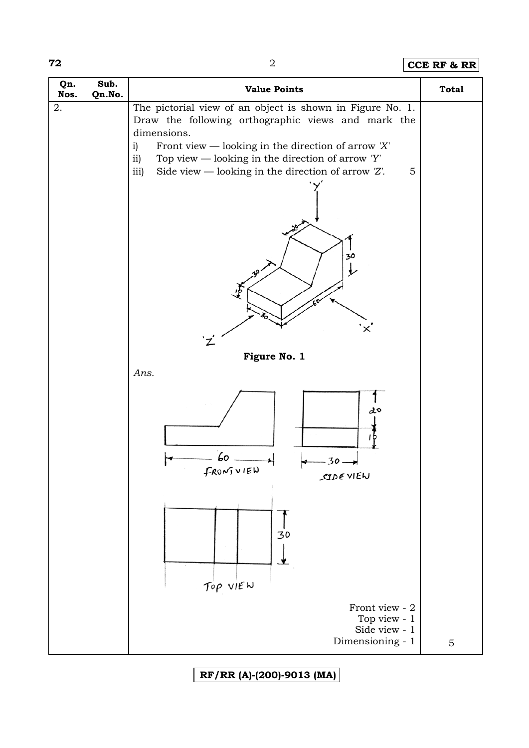**72** 2 **CCE RF & RR**

| Qn.<br>Nos. | Sub.<br>Qn.No. | <b>Value Points</b>                                                                                             | <b>Total</b> |
|-------------|----------------|-----------------------------------------------------------------------------------------------------------------|--------------|
| 2.          |                | The pictorial view of an object is shown in Figure No. 1.<br>Draw the following orthographic views and mark the |              |
|             |                | dimensions.                                                                                                     |              |
|             |                | Front view — looking in the direction of arrow $'X'$<br>$\mathbf{i}$                                            |              |
|             |                | ii)<br>Top view — looking in the direction of arrow $Y'$                                                        |              |
|             |                | Side view — looking in the direction of arrow $Z'$ .<br>5<br>iii)                                               |              |
|             |                |                                                                                                                 |              |
|             |                |                                                                                                                 |              |
|             |                |                                                                                                                 |              |
|             |                |                                                                                                                 |              |
|             |                |                                                                                                                 |              |
|             |                | 30                                                                                                              |              |
|             |                |                                                                                                                 |              |
|             |                |                                                                                                                 |              |
|             |                |                                                                                                                 |              |
|             |                |                                                                                                                 |              |
|             |                | ×                                                                                                               |              |
|             |                |                                                                                                                 |              |
|             |                | Figure No. 1                                                                                                    |              |
|             |                | Ans.                                                                                                            |              |
|             |                |                                                                                                                 |              |
|             |                | 20                                                                                                              |              |
|             |                |                                                                                                                 |              |
|             |                |                                                                                                                 |              |
|             |                |                                                                                                                 |              |
|             |                | Lо<br>$30-$                                                                                                     |              |
|             |                | FRONTUIEN<br>SIDE VIEW                                                                                          |              |
|             |                |                                                                                                                 |              |
|             |                |                                                                                                                 |              |
|             |                |                                                                                                                 |              |
|             |                | $\frac{1}{30}$                                                                                                  |              |
|             |                |                                                                                                                 |              |
|             |                |                                                                                                                 |              |
|             |                |                                                                                                                 |              |
|             |                | TOP VIEW                                                                                                        |              |
|             |                | Front view - 2                                                                                                  |              |
|             |                | Top view - $1\,$                                                                                                |              |
|             |                | Side view - 1                                                                                                   |              |
|             |                | Dimensioning - 1                                                                                                | 5            |

**RF/RR (A)-(200)-9013 (MA)**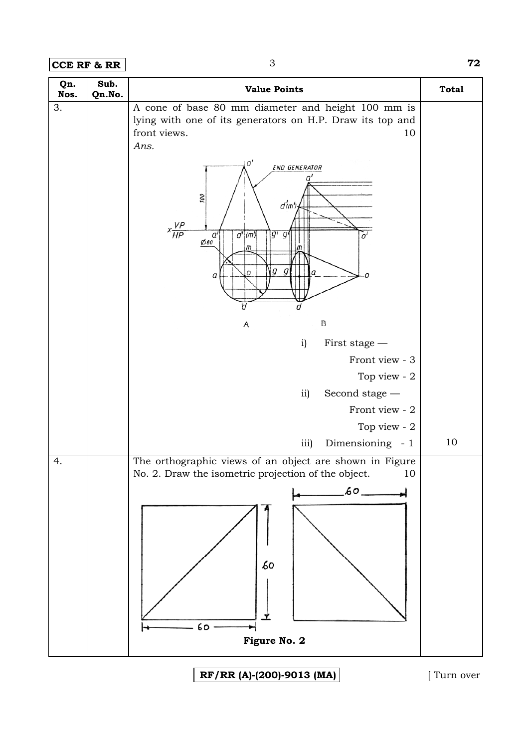| Qn.<br>Nos. | Sub.<br>Qn.No. | <b>Value Points</b>                                                                                                                                                        | <b>Total</b> |
|-------------|----------------|----------------------------------------------------------------------------------------------------------------------------------------------------------------------------|--------------|
| 3.          |                | A cone of base 80 mm diameter and height 100 mm is<br>lying with one of its generators on H.P. Draw its top and<br>front views.<br>10<br>Ans.<br>0'<br>END GENERATOR<br>a' |              |
|             |                | 100<br>d'm')<br>$x$ <sup>VP</sup> $HP$<br>d'(m)<br>$g'$ $g'$<br>a'<br>$\emptyset$ 80<br>m<br>$g$ $g$<br>а<br>Ω<br>a                                                        |              |
|             |                | а                                                                                                                                                                          |              |
|             |                | B<br>Α                                                                                                                                                                     |              |
|             |                | i)<br>First stage -                                                                                                                                                        |              |
|             |                | Front view - 3                                                                                                                                                             |              |
|             |                | Top view - 2                                                                                                                                                               |              |
|             |                | Second stage -<br>$\overline{11}$                                                                                                                                          |              |
|             |                | Front view - 2                                                                                                                                                             |              |
|             |                | Top view - 2                                                                                                                                                               |              |
|             |                | Dimensioning - 1<br>iii)                                                                                                                                                   | 10           |
| 4.          |                | The orthographic views of an object are shown in Figure<br>No. 2. Draw the isometric projection of the object.<br>10                                                       |              |
|             |                | $60 -$                                                                                                                                                                     |              |
|             |                | 60<br>60<br>Figure No. 2                                                                                                                                                   |              |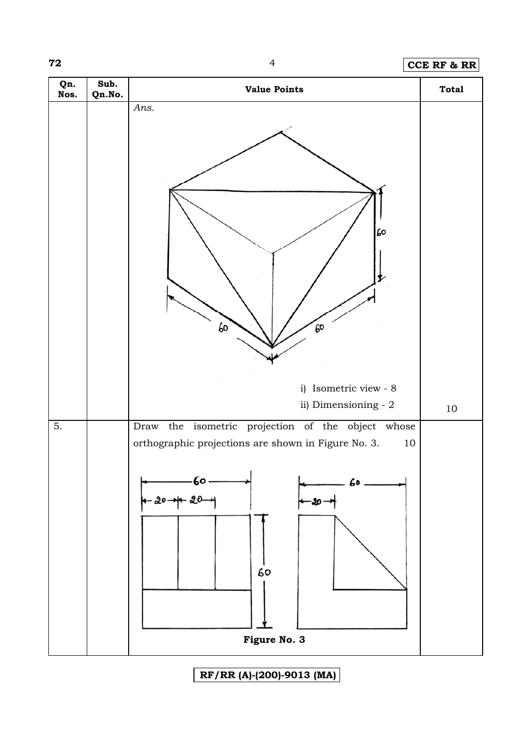### **72** 4 **CCE RF & RR**



**RF/RR (A)-(200)-9013 (MA)**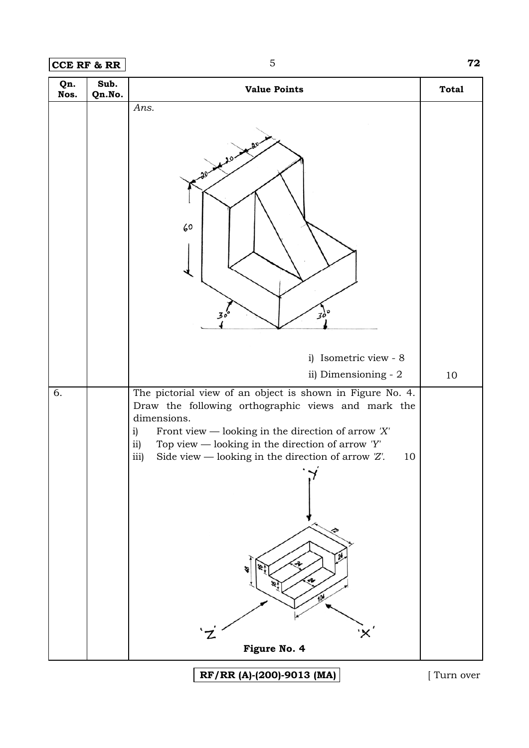**CCE RF & RR** 5 **72** 

| Qn.<br>Nos. | Sub.<br>Qn.No. | <b>Value Points</b>                                                                                                                                                                                                                                                                                                                                                                 | <b>Total</b> |
|-------------|----------------|-------------------------------------------------------------------------------------------------------------------------------------------------------------------------------------------------------------------------------------------------------------------------------------------------------------------------------------------------------------------------------------|--------------|
|             |                | Ans.<br>60<br>$30^{\circ}$                                                                                                                                                                                                                                                                                                                                                          |              |
|             |                | i) Isometric view - 8<br>ii) Dimensioning - 2                                                                                                                                                                                                                                                                                                                                       | $10\,$       |
| 6.          |                | The pictorial view of an object is shown in Figure No. 4.<br>Draw the following orthographic views and mark the<br>dimensions.<br>Front view — looking in the direction of arrow $'X'$<br>$\mathbf{i}$<br>ii)<br>Top view — looking in the direction of arrow $'Y'$<br>Side view — looking in the direction of arrow $Z'$ .<br>iii)<br>10<br>$\cdot$ $\sim$ $\cdot$<br>Figure No. 4 |              |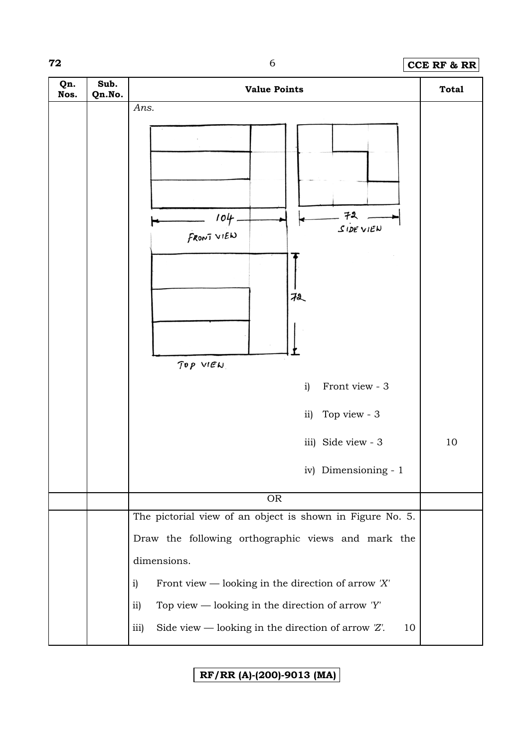# **72** 6 **CCE RF & RR**

| Qn.<br>Nos. | Sub.<br>Qn.No. | <b>Value Points</b>                                                                                                                                           | <b>Total</b> |
|-------------|----------------|---------------------------------------------------------------------------------------------------------------------------------------------------------------|--------------|
|             |                | Ans.<br>72<br>104<br>$S$ IDE VIEN<br>FRONT VIEW<br>扨<br>TOP VIEW<br>Front view - 3<br>i)<br>Top view - 3<br>ii)<br>iii) Side view - 3<br>iv) Dimensioning - 1 | 10           |
|             |                | <b>OR</b>                                                                                                                                                     |              |
|             |                | The pictorial view of an object is shown in Figure No. 5.                                                                                                     |              |
|             |                | Draw the following orthographic views and mark the                                                                                                            |              |
|             |                | dimensions.                                                                                                                                                   |              |
|             |                | Front view — looking in the direction of arrow $'X'$<br>i)                                                                                                    |              |
|             |                | Top view — looking in the direction of arrow $'Y'$<br>ii)                                                                                                     |              |
|             |                | Side view — looking in the direction of arrow $Z'$ .<br>iii)<br>10                                                                                            |              |

**RF/RR (A)-(200)-9013 (MA)**